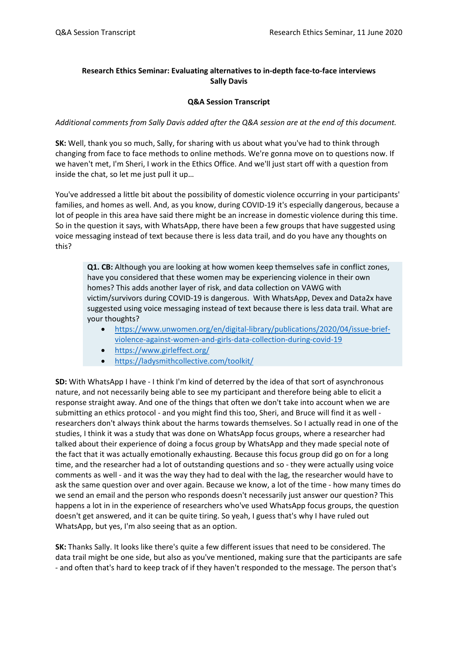# **Research Ethics Seminar: Evaluating alternatives to in-depth face-to-face interviews Sally Davis**

## **Q&A Session Transcript**

### *Additional comments from Sally Davis added after the Q&A session are at the end of this document.*

**SK:** Well, thank you so much, Sally, for sharing with us about what you've had to think through changing from face to face methods to online methods. We're gonna move on to questions now. If we haven't met, I'm Sheri, I work in the Ethics Office. And we'll just start off with a question from inside the chat, so let me just pull it up…

You've addressed a little bit about the possibility of domestic violence occurring in your participants' families, and homes as well. And, as you know, during COVID-19 it's especially dangerous, because a lot of people in this area have said there might be an increase in domestic violence during this time. So in the question it says, with WhatsApp, there have been a few groups that have suggested using voice messaging instead of text because there is less data trail, and do you have any thoughts on this?

**Q1. CB:** Although you are looking at how women keep themselves safe in conflict zones, have you considered that these women may be experiencing violence in their own homes? This adds another layer of risk, and data collection on VAWG with victim/survivors during COVID-19 is dangerous. With WhatsApp, Devex and Data2x have suggested using voice messaging instead of text because there is less data trail. What are your thoughts?

- [https://www.unwomen.org/en/digital-library/publications/2020/04/issue-brief](https://www.unwomen.org/en/digital-library/publications/2020/04/issue-brief-violence-against-women-and-girls-data-collection-during-covid-19)[violence-against-women-and-girls-data-collection-during-covid-19](https://www.unwomen.org/en/digital-library/publications/2020/04/issue-brief-violence-against-women-and-girls-data-collection-during-covid-19)
- <https://www.girleffect.org/>
- <https://ladysmithcollective.com/toolkit/>

**SD:** With WhatsApp I have - I think I'm kind of deterred by the idea of that sort of asynchronous nature, and not necessarily being able to see my participant and therefore being able to elicit a response straight away. And one of the things that often we don't take into account when we are submitting an ethics protocol - and you might find this too, Sheri, and Bruce will find it as well researchers don't always think about the harms towards themselves. So I actually read in one of the studies, I think it was a study that was done on WhatsApp focus groups, where a researcher had talked about their experience of doing a focus group by WhatsApp and they made special note of the fact that it was actually emotionally exhausting. Because this focus group did go on for a long time, and the researcher had a lot of outstanding questions and so - they were actually using voice comments as well - and it was the way they had to deal with the lag, the researcher would have to ask the same question over and over again. Because we know, a lot of the time - how many times do we send an email and the person who responds doesn't necessarily just answer our question? This happens a lot in in the experience of researchers who've used WhatsApp focus groups, the question doesn't get answered, and it can be quite tiring. So yeah, I guess that's why I have ruled out WhatsApp, but yes, I'm also seeing that as an option.

**SK:** Thanks Sally. It looks like there's quite a few different issues that need to be considered. The data trail might be one side, but also as you've mentioned, making sure that the participants are safe - and often that's hard to keep track of if they haven't responded to the message. The person that's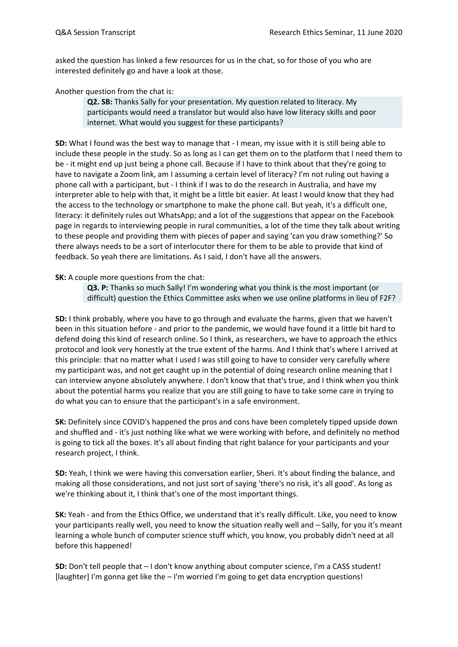asked the question has linked a few resources for us in the chat, so for those of you who are interested definitely go and have a look at those.

Another question from the chat is:

**Q2. SB:** Thanks Sally for your presentation. My question related to literacy. My participants would need a translator but would also have low literacy skills and poor internet. What would you suggest for these participants?

**SD:** What I found was the best way to manage that - I mean, my issue with it is still being able to include these people in the study. So as long as I can get them on to the platform that I need them to be - it might end up just being a phone call. Because if I have to think about that they're going to have to navigate a Zoom link, am I assuming a certain level of literacy? I'm not ruling out having a phone call with a participant, but - I think if I was to do the research in Australia, and have my interpreter able to help with that, it might be a little bit easier. At least I would know that they had the access to the technology or smartphone to make the phone call. But yeah, it's a difficult one, literacy: it definitely rules out WhatsApp; and a lot of the suggestions that appear on the Facebook page in regards to interviewing people in rural communities, a lot of the time they talk about writing to these people and providing them with pieces of paper and saying 'can you draw something?' So there always needs to be a sort of interlocutor there for them to be able to provide that kind of feedback. So yeah there are limitations. As I said, I don't have all the answers.

**SK:** A couple more questions from the chat:

**Q3. P:** Thanks so much Sally! I'm wondering what you think is the most important (or difficult) question the Ethics Committee asks when we use online platforms in lieu of F2F?

**SD:** I think probably, where you have to go through and evaluate the harms, given that we haven't been in this situation before - and prior to the pandemic, we would have found it a little bit hard to defend doing this kind of research online. So I think, as researchers, we have to approach the ethics protocol and look very honestly at the true extent of the harms. And I think that's where I arrived at this principle: that no matter what I used I was still going to have to consider very carefully where my participant was, and not get caught up in the potential of doing research online meaning that I can interview anyone absolutely anywhere. I don't know that that's true, and I think when you think about the potential harms you realize that you are still going to have to take some care in trying to do what you can to ensure that the participant's in a safe environment.

**SK:** Definitely since COVID's happened the pros and cons have been completely tipped upside down and shuffled and - it's just nothing like what we were working with before, and definitely no method is going to tick all the boxes. It's all about finding that right balance for your participants and your research project, I think.

**SD:** Yeah, I think we were having this conversation earlier, Sheri. It's about finding the balance, and making all those considerations, and not just sort of saying 'there's no risk, it's all good'. As long as we're thinking about it, I think that's one of the most important things.

**SK:** Yeah - and from the Ethics Office, we understand that it's really difficult. Like, you need to know your participants really well, you need to know the situation really well and – Sally, for you it's meant learning a whole bunch of computer science stuff which, you know, you probably didn't need at all before this happened!

**SD:** Don't tell people that – I don't know anything about computer science, I'm a CASS student! [laughter] I'm gonna get like the – I'm worried I'm going to get data encryption questions!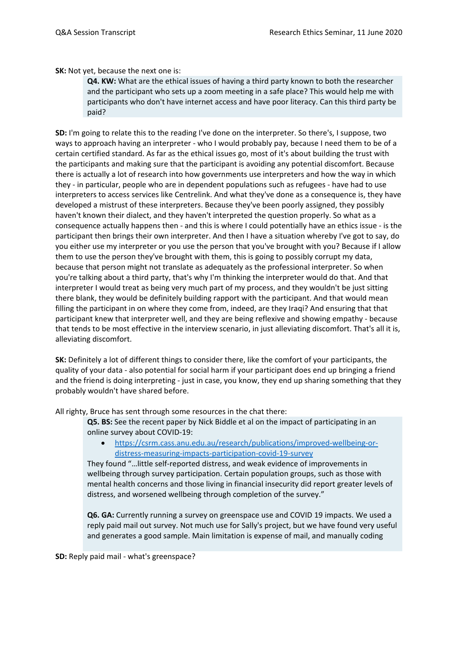**SK:** Not yet, because the next one is:

**Q4. KW:** What are the ethical issues of having a third party known to both the researcher and the participant who sets up a zoom meeting in a safe place? This would help me with participants who don't have internet access and have poor literacy. Can this third party be paid?

**SD:** I'm going to relate this to the reading I've done on the interpreter. So there's, I suppose, two ways to approach having an interpreter - who I would probably pay, because I need them to be of a certain certified standard. As far as the ethical issues go, most of it's about building the trust with the participants and making sure that the participant is avoiding any potential discomfort. Because there is actually a lot of research into how governments use interpreters and how the way in which they - in particular, people who are in dependent populations such as refugees - have had to use interpreters to access services like Centrelink. And what they've done as a consequence is, they have developed a mistrust of these interpreters. Because they've been poorly assigned, they possibly haven't known their dialect, and they haven't interpreted the question properly. So what as a consequence actually happens then - and this is where I could potentially have an ethics issue - is the participant then brings their own interpreter. And then I have a situation whereby I've got to say, do you either use my interpreter or you use the person that you've brought with you? Because if I allow them to use the person they've brought with them, this is going to possibly corrupt my data, because that person might not translate as adequately as the professional interpreter. So when you're talking about a third party, that's why I'm thinking the interpreter would do that. And that interpreter I would treat as being very much part of my process, and they wouldn't be just sitting there blank, they would be definitely building rapport with the participant. And that would mean filling the participant in on where they come from, indeed, are they Iraqi? And ensuring that that participant knew that interpreter well, and they are being reflexive and showing empathy - because that tends to be most effective in the interview scenario, in just alleviating discomfort. That's all it is, alleviating discomfort.

**SK:** Definitely a lot of different things to consider there, like the comfort of your participants, the quality of your data - also potential for social harm if your participant does end up bringing a friend and the friend is doing interpreting - just in case, you know, they end up sharing something that they probably wouldn't have shared before.

All righty, Bruce has sent through some resources in the chat there:

**Q5. BS:** See the recent paper by Nick Biddle et al on the impact of participating in an online survey about COVID-19:

• [https://csrm.cass.anu.edu.au/research/publications/improved-wellbeing-or](https://csrm.cass.anu.edu.au/research/publications/improved-wellbeing-or-distress-measuring-impacts-participation-covid-19-survey)[distress-measuring-impacts-participation-covid-19-survey](https://csrm.cass.anu.edu.au/research/publications/improved-wellbeing-or-distress-measuring-impacts-participation-covid-19-survey)

They found "…little self-reported distress, and weak evidence of improvements in wellbeing through survey participation. Certain population groups, such as those with mental health concerns and those living in financial insecurity did report greater levels of distress, and worsened wellbeing through completion of the survey."

**Q6. GA:** Currently running a survey on greenspace use and COVID 19 impacts. We used a reply paid mail out survey. Not much use for Sally's project, but we have found very useful and generates a good sample. Main limitation is expense of mail, and manually coding

**SD:** Reply paid mail - what's greenspace?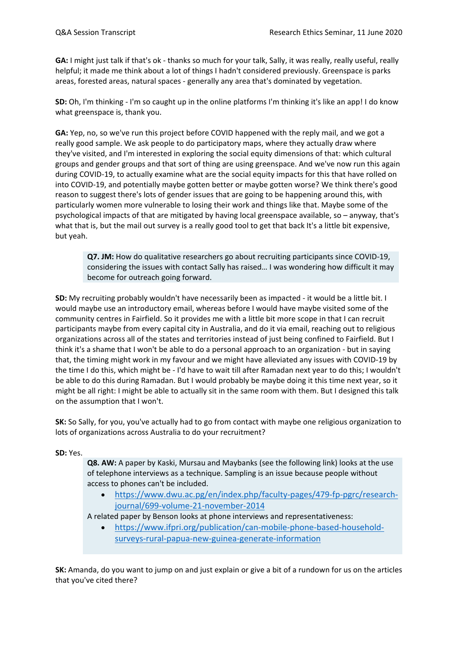**GA:** I might just talk if that's ok - thanks so much for your talk, Sally, it was really, really useful, really helpful; it made me think about a lot of things I hadn't considered previously. Greenspace is parks areas, forested areas, natural spaces - generally any area that's dominated by vegetation.

**SD:** Oh, I'm thinking - I'm so caught up in the online platforms I'm thinking it's like an app! I do know what greenspace is, thank you.

**GA:** Yep, no, so we've run this project before COVID happened with the reply mail, and we got a really good sample. We ask people to do participatory maps, where they actually draw where they've visited, and I'm interested in exploring the social equity dimensions of that: which cultural groups and gender groups and that sort of thing are using greenspace. And we've now run this again during COVID-19, to actually examine what are the social equity impacts for this that have rolled on into COVID-19, and potentially maybe gotten better or maybe gotten worse? We think there's good reason to suggest there's lots of gender issues that are going to be happening around this, with particularly women more vulnerable to losing their work and things like that. Maybe some of the psychological impacts of that are mitigated by having local greenspace available, so – anyway, that's what that is, but the mail out survey is a really good tool to get that back It's a little bit expensive, but yeah.

**Q7. JM:** How do qualitative researchers go about recruiting participants since COVID-19, considering the issues with contact Sally has raised… I was wondering how difficult it may become for outreach going forward.

**SD:** My recruiting probably wouldn't have necessarily been as impacted - it would be a little bit. I would maybe use an introductory email, whereas before I would have maybe visited some of the community centres in Fairfield. So it provides me with a little bit more scope in that I can recruit participants maybe from every capital city in Australia, and do it via email, reaching out to religious organizations across all of the states and territories instead of just being confined to Fairfield. But I think it's a shame that I won't be able to do a personal approach to an organization - but in saying that, the timing might work in my favour and we might have alleviated any issues with COVID-19 by the time I do this, which might be - I'd have to wait till after Ramadan next year to do this; I wouldn't be able to do this during Ramadan. But I would probably be maybe doing it this time next year, so it might be all right: I might be able to actually sit in the same room with them. But I designed this talk on the assumption that I won't.

**SK:** So Sally, for you, you've actually had to go from contact with maybe one religious organization to lots of organizations across Australia to do your recruitment?

## **SD:** Yes.

**Q8. AW:** A paper by Kaski, Mursau and Maybanks (see the following link) looks at the use of telephone interviews as a technique. Sampling is an issue because people without access to phones can't be included.

- [https://www.dwu.ac.pg/en/index.php/faculty-pages/479-fp-pgrc/research](https://www.dwu.ac.pg/en/index.php/faculty-pages/479-fp-pgrc/research-journal/699-volume-21-november-2014)[journal/699-volume-21-november-2014](https://www.dwu.ac.pg/en/index.php/faculty-pages/479-fp-pgrc/research-journal/699-volume-21-november-2014)
- A related paper by Benson looks at phone interviews and representativeness:
	- [https://www.ifpri.org/publication/can-mobile-phone-based-household](https://www.ifpri.org/publication/can-mobile-phone-based-household-surveys-rural-papua-new-guinea-generate-information)[surveys-rural-papua-new-guinea-generate-information](https://www.ifpri.org/publication/can-mobile-phone-based-household-surveys-rural-papua-new-guinea-generate-information)

**SK:** Amanda, do you want to jump on and just explain or give a bit of a rundown for us on the articles that you've cited there?